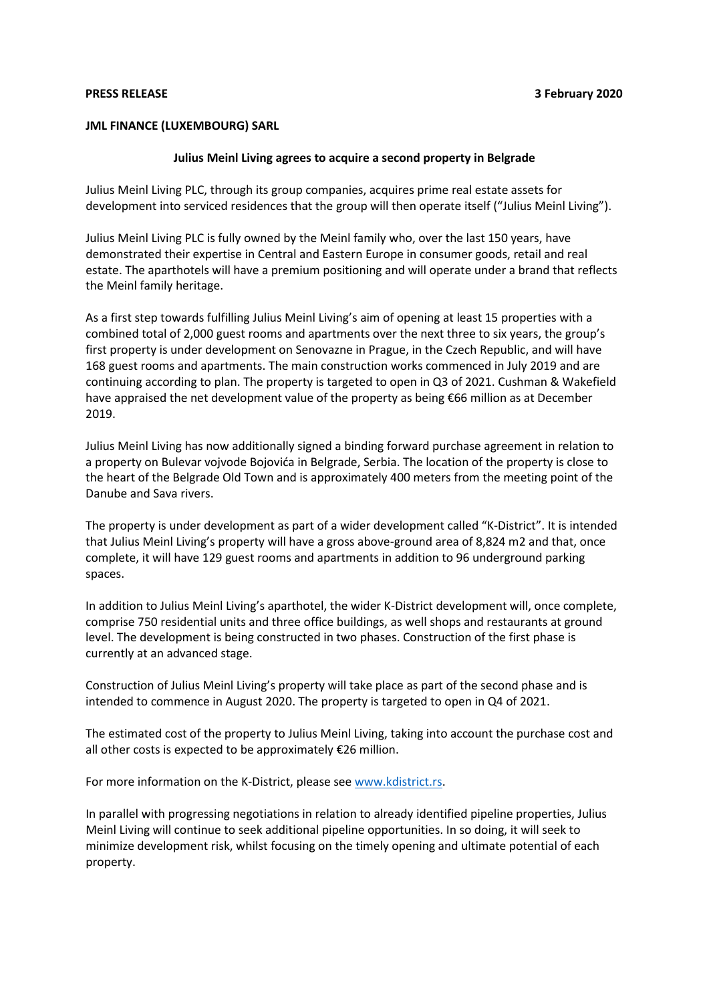## **JML FINANCE (LUXEMBOURG) SARL**

## **Julius Meinl Living agrees to acquire a second property in Belgrade**

Julius Meinl Living PLC, through its group companies, acquires prime real estate assets for development into serviced residences that the group will then operate itself ("Julius Meinl Living").

Julius Meinl Living PLC is fully owned by the Meinl family who, over the last 150 years, have demonstrated their expertise in Central and Eastern Europe in consumer goods, retail and real estate. The aparthotels will have a premium positioning and will operate under a brand that reflects the Meinl family heritage.

As a first step towards fulfilling Julius Meinl Living's aim of opening at least 15 properties with a combined total of 2,000 guest rooms and apartments over the next three to six years, the group's first property is under development on Senovazne in Prague, in the Czech Republic, and will have 168 guest rooms and apartments. The main construction works commenced in July 2019 and are continuing according to plan. The property is targeted to open in Q3 of 2021. Cushman & Wakefield have appraised the net development value of the property as being €66 million as at December 2019.

Julius Meinl Living has now additionally signed a binding forward purchase agreement in relation to a property on Bulevar vojvode Bojovića in Belgrade, Serbia. The location of the property is close to the heart of the Belgrade Old Town and is approximately 400 meters from the meeting point of the Danube and Sava rivers.

The property is under development as part of a wider development called "K-District". It is intended that Julius Meinl Living's property will have a gross above-ground area of 8,824 m2 and that, once complete, it will have 129 guest rooms and apartments in addition to 96 underground parking spaces.

In addition to Julius Meinl Living's aparthotel, the wider K-District development will, once complete, comprise 750 residential units and three office buildings, as well shops and restaurants at ground level. The development is being constructed in two phases. Construction of the first phase is currently at an advanced stage.

Construction of Julius Meinl Living's property will take place as part of the second phase and is intended to commence in August 2020. The property is targeted to open in Q4 of 2021.

The estimated cost of the property to Julius Meinl Living, taking into account the purchase cost and all other costs is expected to be approximately €26 million.

For more information on the K-District, please see [www.kdistrict.rs.](http://www.kdistrict.rs/)

In parallel with progressing negotiations in relation to already identified pipeline properties, Julius Meinl Living will continue to seek additional pipeline opportunities. In so doing, it will seek to minimize development risk, whilst focusing on the timely opening and ultimate potential of each property.